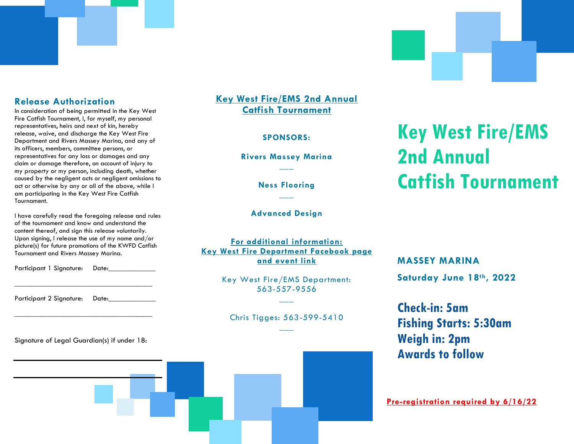### **Release Authorization**

In consideration of being permitted in the Key West Fire Catfish Tournament, I, for myself, my personal representatives, heirs and next of kin, hereby release, waive, and discharge the Key West Fire Department and Rivers Massey Marina, and any of its officers, members, committee persons, or representatives for any loss or damages and any claim or damage therefore, on account of injury to my property or my person, including death, whether caused by the negligent acts or negligent omissions to act or otherwise by any or all of the above, while I am participating in the Key West Fire Catfish Tournament.

I have carefully read the foregoing release and rules of the tournament and know and understand the content thereof, and sign this release voluntarily. Upon signing, I release the use of my name and/or picture(s) for future promotions of the KWFD Catfish Tournament and Rivers Massey Marina.

Participant 1 Signature: Date:

\_\_\_\_\_\_\_\_\_\_\_\_\_\_\_\_\_\_\_\_\_\_\_\_\_\_\_\_\_\_\_\_\_\_\_\_\_\_

\_\_\_\_\_\_\_\_\_\_\_\_\_\_\_\_\_\_\_\_\_\_\_\_\_\_\_\_\_\_\_\_\_\_\_\_\_\_

Participant 2 Signature: Date:\_\_\_\_\_\_\_\_\_\_\_\_\_

Signature of Legal Guardian(s) if under 18:

### **Key West Fire/EMS 2nd Annual Catfish Tournament**

#### **SPONSORS:**

**Rivers Massey Marina \_\_\_**

> **Ness Flooring \_\_\_**

**Advanced Design**

**For additional information: Key West Fire Department Facebook page and event link**

> Key West Fire/EMS Department: 563-557-9556 **\_\_\_**

Chris Tigges: 563-599-5410 **\_\_\_**

# **Key West Fire/EMS 2nd Annual Catfish Tournament**

**MASSEY MARINA Saturday June 18th, 2022**

**Check-in: 5am Fishing Starts: 5:30am Weigh in: 2pm Awards to follow**

**Pre-registration required by 6/16/22**